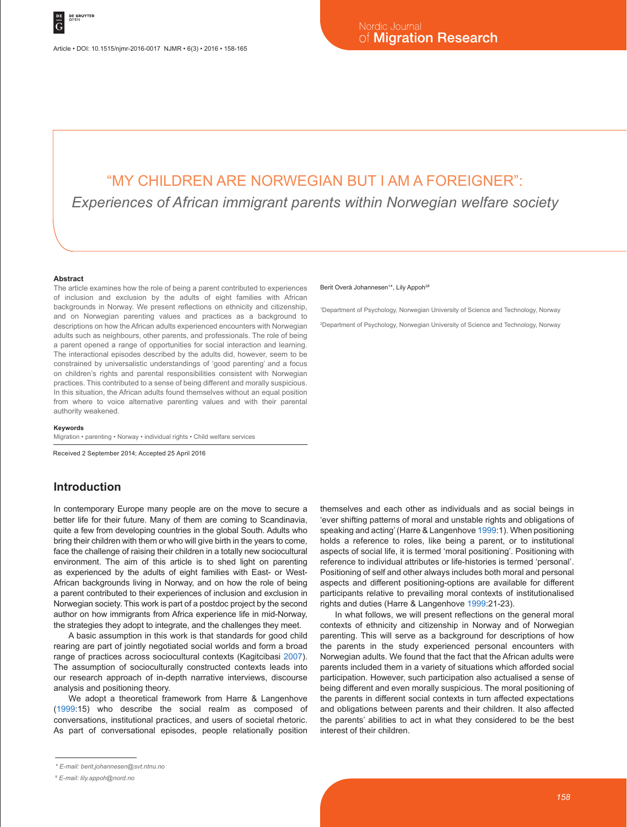# "MY CHILDREN ARE NORWEGIAN BUT I AM A FOREIGNER":

*Experiences of African immigrant parents within Norwegian welfare society*

#### **Abstract**

The article examines how the role of being a parent contributed to experiences of inclusion and exclusion by the adults of eight families with African backgrounds in Norway. We present reflections on ethnicity and citizenship, and on Norwegian parenting values and practices as a background to descriptions on how the African adults experienced encounters with Norwegian adults such as neighbours, other parents, and professionals. The role of being a parent opened a range of opportunities for social interaction and learning. The interactional episodes described by the adults did, however, seem to be constrained by universalistic understandings of 'good parenting' and a focus on children's rights and parental responsibilities consistent with Norwegian practices. This contributed to a sense of being different and morally suspicious. In this situation, the African adults found themselves without an equal position from where to voice alternative parenting values and with their parental authority weakened.

#### **Keywords**

Migration • parenting • Norway • individual rights • Child welfare services

Received 2 September 2014; Accepted 25 April 2016

### **Introduction**

In contemporary Europe many people are on the move to secure a better life for their future. Many of them are coming to Scandinavia, quite a few from developing countries in the global South. Adults who bring their children with them or who will give birth in the years to come, face the challenge of raising their children in a totally new sociocultural environment. The aim of this article is to shed light on parenting as experienced by the adults of eight families with East- or West-African backgrounds living in Norway, and on how the role of being a parent contributed to their experiences of inclusion and exclusion in Norwegian society. This work is part of a postdoc project by the second author on how immigrants from Africa experience life in mid-Norway, the strategies they adopt to integrate, and the challenges they meet.

A basic assumption in this work is that standards for good child rearing are part of jointly negotiated social worlds and form a broad range of practices across sociocultural contexts (Kagitcibasi 2007). The assumption of socioculturally constructed contexts leads into our research approach of in-depth narrative interviews, discourse analysis and positioning theory.

We adopt a theoretical framework from Harre & Langenhove (1999:15) who describe the social realm as composed of conversations, institutional practices, and users of societal rhetoric. As part of conversational episodes, people relationally position

#### Berit Overå Johannesen<sup>1\*</sup>, Lily Appoh<sup>2#</sup>

1 Department of Psychology, Norwegian University of Science and Technology, Norway 2 Department of Psychology, Norwegian University of Science and Technology, Norway

themselves and each other as individuals and as social beings in 'ever shifting patterns of moral and unstable rights and obligations of speaking and acting' (Harre & Langenhove 1999:1). When positioning holds a reference to roles, like being a parent, or to institutional aspects of social life, it is termed 'moral positioning'. Positioning with reference to individual attributes or life-histories is termed 'personal'. Positioning of self and other always includes both moral and personal aspects and different positioning-options are available for different participants relative to prevailing moral contexts of institutionalised rights and duties (Harre & Langenhove 1999:21-23).

In what follows, we will present reflections on the general moral contexts of ethnicity and citizenship in Norway and of Norwegian parenting. This will serve as a background for descriptions of how the parents in the study experienced personal encounters with Norwegian adults. We found that the fact that the African adults were parents included them in a variety of situations which afforded social participation. However, such participation also actualised a sense of being different and even morally suspicious. The moral positioning of the parents in different social contexts in turn affected expectations and obligations between parents and their children. It also affected the parents' abilities to act in what they considered to be the best interest of their children.

*<sup>\*</sup> E-mail: berit.johannesen@svt.ntnu.no*

*<sup>#</sup> E-mail: lily.appoh@nord.no*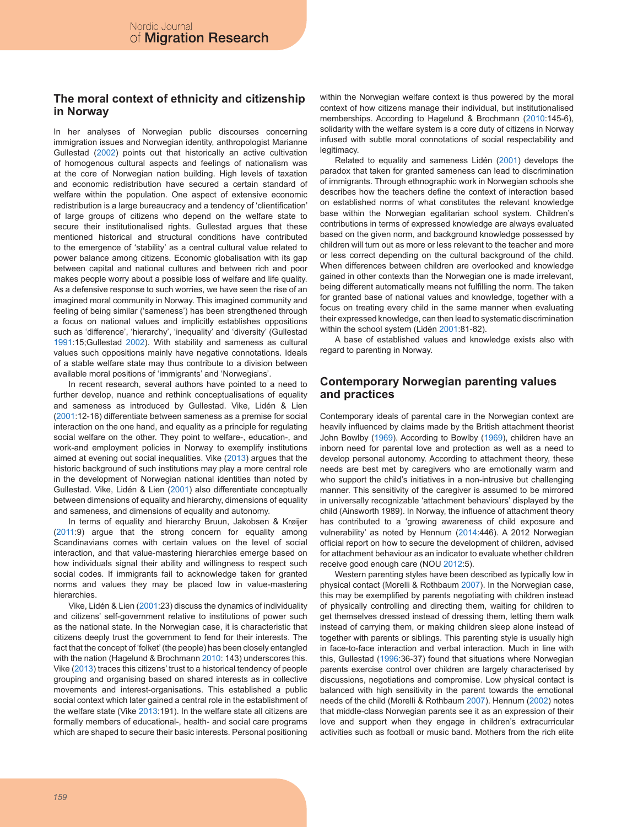### **The moral context of ethnicity and citizenship in Norway**

In her analyses of Norwegian public discourses concerning immigration issues and Norwegian identity, anthropologist Marianne Gullestad (2002) points out that historically an active cultivation of homogenous cultural aspects and feelings of nationalism was at the core of Norwegian nation building. High levels of taxation and economic redistribution have secured a certain standard of welfare within the population. One aspect of extensive economic redistribution is a large bureaucracy and a tendency of 'clientification' of large groups of citizens who depend on the welfare state to secure their institutionalised rights. Gullestad argues that these mentioned historical and structural conditions have contributed to the emergence of 'stability' as a central cultural value related to power balance among citizens. Economic globalisation with its gap between capital and national cultures and between rich and poor makes people worry about a possible loss of welfare and life quality. As a defensive response to such worries, we have seen the rise of an imagined moral community in Norway. This imagined community and feeling of being similar ('sameness') has been strengthened through a focus on national values and implicitly establishes oppositions such as 'difference', 'hierarchy', 'inequality' and 'diversity' (Gullestad 1991:15;Gullestad 2002). With stability and sameness as cultural values such oppositions mainly have negative connotations. Ideals of a stable welfare state may thus contribute to a division between available moral positions of 'immigrants' and 'Norwegians'.

In recent research, several authors have pointed to a need to further develop, nuance and rethink conceptualisations of equality and sameness as introduced by Gullestad. Vike, Lidén & Lien (2001:12-16) differentiate between sameness as a premise for social interaction on the one hand, and equality as a principle for regulating social welfare on the other. They point to welfare-, education-, and work-and employment policies in Norway to exemplify institutions aimed at evening out social inequalities. Vike (2013) argues that the historic background of such institutions may play a more central role in the development of Norwegian national identities than noted by Gullestad. Vike, Lidén & Lien (2001) also differentiate conceptually between dimensions of equality and hierarchy, dimensions of equality and sameness, and dimensions of equality and autonomy.

In terms of equality and hierarchy Bruun, Jakobsen & Krøijer (2011:9) argue that the strong concern for equality among Scandinavians comes with certain values on the level of social interaction, and that value-mastering hierarchies emerge based on how individuals signal their ability and willingness to respect such social codes. If immigrants fail to acknowledge taken for granted norms and values they may be placed low in value-mastering hierarchies.

Vike, Lidén & Lien (2001:23) discuss the dynamics of individuality and citizens' self-government relative to institutions of power such as the national state. In the Norwegian case, it is characteristic that citizens deeply trust the government to fend for their interests. The fact that the concept of 'folket' (the people) has been closely entangled with the nation (Hagelund & Brochmann 2010: 143) underscores this. Vike (2013) traces this citizens' trust to a historical tendency of people grouping and organising based on shared interests as in collective movements and interest-organisations. This established a public social context which later gained a central role in the establishment of the welfare state (Vike 2013:191). In the welfare state all citizens are formally members of educational-, health- and social care programs which are shaped to secure their basic interests. Personal positioning

within the Norwegian welfare context is thus powered by the moral context of how citizens manage their individual, but institutionalised memberships. According to Hagelund & Brochmann (2010:145-6), solidarity with the welfare system is a core duty of citizens in Norway infused with subtle moral connotations of social respectability and legitimacy.

Related to equality and sameness Lidén (2001) develops the paradox that taken for granted sameness can lead to discrimination of immigrants. Through ethnographic work in Norwegian schools she describes how the teachers define the context of interaction based on established norms of what constitutes the relevant knowledge base within the Norwegian egalitarian school system. Children's contributions in terms of expressed knowledge are always evaluated based on the given norm, and background knowledge possessed by children will turn out as more or less relevant to the teacher and more or less correct depending on the cultural background of the child. When differences between children are overlooked and knowledge gained in other contexts than the Norwegian one is made irrelevant, being different automatically means not fulfilling the norm. The taken for granted base of national values and knowledge, together with a focus on treating every child in the same manner when evaluating their expressed knowledge, can then lead to systematic discrimination within the school system (Lidén 2001:81-82).

A base of established values and knowledge exists also with regard to parenting in Norway.

### **Contemporary Norwegian parenting values and practices**

Contemporary ideals of parental care in the Norwegian context are heavily influenced by claims made by the British attachment theorist John Bowlby (1969). According to Bowlby (1969), children have an inborn need for parental love and protection as well as a need to develop personal autonomy. According to attachment theory, these needs are best met by caregivers who are emotionally warm and who support the child's initiatives in a non-intrusive but challenging manner. This sensitivity of the caregiver is assumed to be mirrored in universally recognizable 'attachment behaviours' displayed by the child (Ainsworth 1989). In Norway, the influence of attachment theory has contributed to a 'growing awareness of child exposure and vulnerability' as noted by Hennum (2014:446). A 2012 Norwegian official report on how to secure the development of children, advised for attachment behaviour as an indicator to evaluate whether children receive good enough care (NOU 2012:5).

Western parenting styles have been described as typically low in physical contact (Morelli & Rothbaum 2007). In the Norwegian case, this may be exemplified by parents negotiating with children instead of physically controlling and directing them, waiting for children to get themselves dressed instead of dressing them, letting them walk instead of carrying them, or making children sleep alone instead of together with parents or siblings. This parenting style is usually high in face-to-face interaction and verbal interaction. Much in line with this, Gullestad (1996:36-37) found that situations where Norwegian parents exercise control over children are largely characterised by discussions, negotiations and compromise. Low physical contact is balanced with high sensitivity in the parent towards the emotional needs of the child (Morelli & Rothbaum 2007). Hennum (2002) notes that middle-class Norwegian parents see it as an expression of their love and support when they engage in children's extracurricular activities such as football or music band. Mothers from the rich elite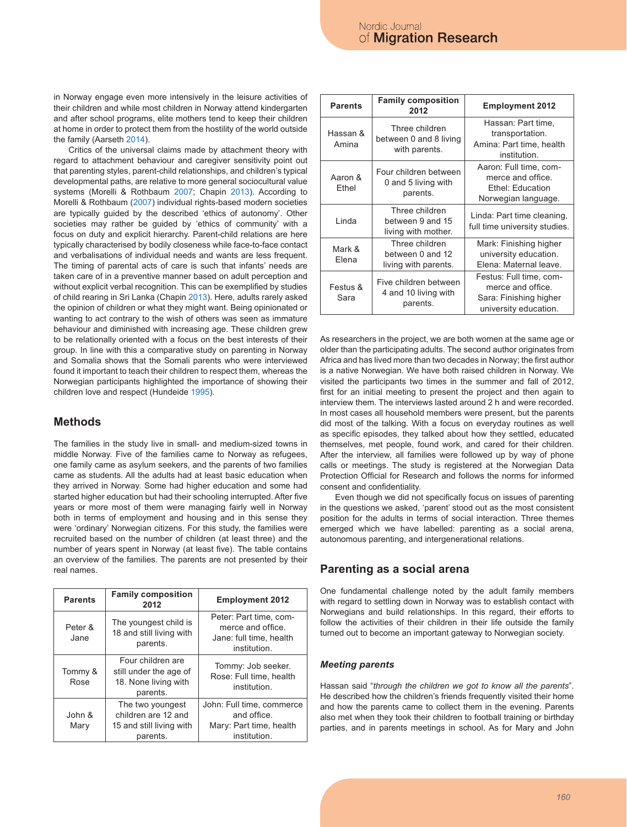in Norway engage even more intensively in the leisure activities of their children and while most children in Norway attend kindergarten and after school programs, elite mothers tend to keep their children at home in order to protect them from the hostility of the world outside the family (Aarseth 2014).

Critics of the universal claims made by attachment theory with regard to attachment behaviour and caregiver sensitivity point out that parenting styles, parent-child relationships, and children's typical developmental paths, are relative to more general sociocultural value systems (Morelli & Rothbaum 2007; Chapin 2013). According to Morelli & Rothbaum (2007) individual rights-based modern societies are typically guided by the described 'ethics of autonomy'. Other societies may rather be guided by 'ethics of community' with a focus on duty and explicit hierarchy. Parent-child relations are here typically characterised by bodily closeness while face-to-face contact and verbalisations of individual needs and wants are less frequent. The timing of parental acts of care is such that infants' needs are taken care of in a preventive manner based on adult perception and without explicit verbal recognition. This can be exemplified by studies of child rearing in Sri Lanka (Chapin 2013). Here, adults rarely asked the opinion of children or what they might want. Being opinionated or wanting to act contrary to the wish of others was seen as immature behaviour and diminished with increasing age. These children grew to be relationally oriented with a focus on the best interests of their group. In line with this a comparative study on parenting in Norway and Somalia shows that the Somali parents who were interviewed found it important to teach their children to respect them, whereas the Norwegian participants highlighted the importance of showing their children love and respect (Hundeide 1995).

## **Methods**

The families in the study live in small- and medium-sized towns in middle Norway. Five of the families came to Norway as refugees, one family came as asylum seekers, and the parents of two families came as students. All the adults had at least basic education when they arrived in Norway. Some had higher education and some had started higher education but had their schooling interrupted. After five years or more most of them were managing fairly well in Norway both in terms of employment and housing and in this sense they were 'ordinary' Norwegian citizens. For this study, the families were recruited based on the number of children (at least three) and the number of years spent in Norway (at least five). The table contains an overview of the families. The parents are not presented by their real names.

| <b>Parents</b>  | <b>Family composition</b><br>2012                                               | <b>Employment 2012</b>                                                                 |
|-----------------|---------------------------------------------------------------------------------|----------------------------------------------------------------------------------------|
| Peter &<br>Jane | The youngest child is<br>18 and still living with<br>parents.                   | Peter: Part time, com-<br>merce and office.<br>Jane: full time, health<br>institution. |
| Tommy &<br>Rose | Four children are<br>still under the age of<br>18. None living with<br>parents. | Tommy: Job seeker.<br>Rose: Full time, health<br>institution.                          |
| John &<br>Mary  | The two youngest<br>children are 12 and<br>15 and still living with<br>parents. | John: Full time, commerce<br>and office.<br>Mary: Part time, health<br>institution.    |

| <b>Parents</b>    | <b>Family composition</b><br>2012                          | <b>Employment 2012</b>                                                                          |
|-------------------|------------------------------------------------------------|-------------------------------------------------------------------------------------------------|
| Hassan &<br>Amina | Three children<br>between 0 and 8 living<br>with parents.  | Hassan: Part time,<br>transportation.<br>Amina: Part time, health<br>institution.               |
| Aaron &<br>Ethel  | Four children between<br>0 and 5 living with<br>parents.   | Aaron: Full time, com-<br>merce and office.<br>Ethel: Education<br>Norwegian language.          |
| Linda             | Three children<br>between 9 and 15<br>living with mother.  | Linda: Part time cleaning,<br>full time university studies.                                     |
| Mark &<br>Elena   | Three children<br>between 0 and 12<br>living with parents. | Mark: Finishing higher<br>university education.<br>Elena: Maternal leave.                       |
| Festus &<br>Sara  | Five children between<br>4 and 10 living with<br>parents.  | Festus: Full time, com-<br>merce and office.<br>Sara: Finishing higher<br>university education. |

As researchers in the project, we are both women at the same age or older than the participating adults. The second author originates from Africa and has lived more than two decades in Norway; the first author is a native Norwegian. We have both raised children in Norway. We visited the participants two times in the summer and fall of 2012, first for an initial meeting to present the project and then again to interview them. The interviews lasted around 2 h and were recorded. In most cases all household members were present, but the parents did most of the talking. With a focus on everyday routines as well as specific episodes, they talked about how they settled, educated themselves, met people, found work, and cared for their children. After the interview, all families were followed up by way of phone calls or meetings. The study is registered at the Norwegian Data Protection Official for Research and follows the norms for informed consent and confidentiality.

Even though we did not specifically focus on issues of parenting in the questions we asked, 'parent' stood out as the most consistent position for the adults in terms of social interaction. Three themes emerged which we have labelled: parenting as a social arena, autonomous parenting, and intergenerational relations.

## **Parenting as a social arena**

One fundamental challenge noted by the adult family members with regard to settling down in Norway was to establish contact with Norwegians and build relationships. In this regard, their efforts to follow the activities of their children in their life outside the family turned out to become an important gateway to Norwegian society.

### *Meeting parents*

Hassan said "*through the children we got to know all the parents*". He described how the children's friends frequently visited their home and how the parents came to collect them in the evening. Parents also met when they took their children to football training or birthday parties, and in parents meetings in school. As for Mary and John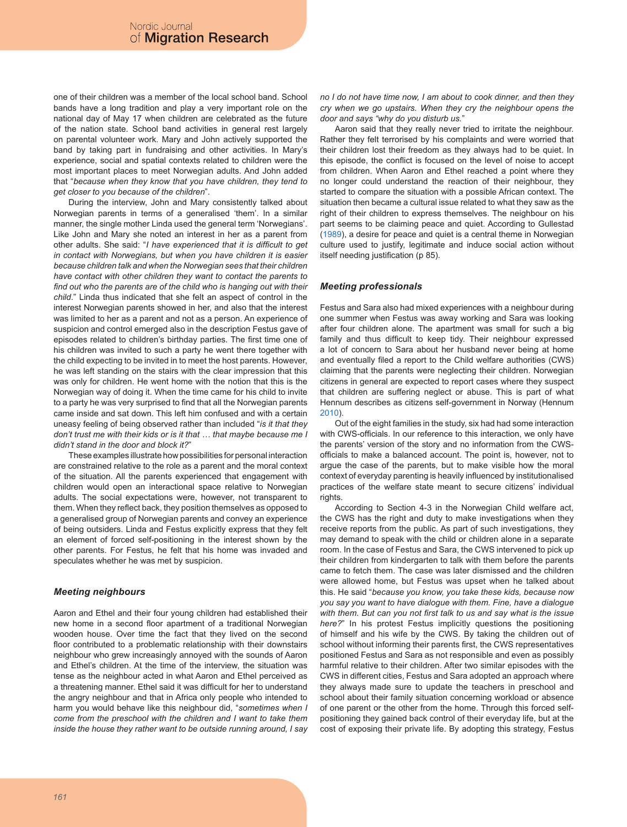one of their children was a member of the local school band. School bands have a long tradition and play a very important role on the national day of May 17 when children are celebrated as the future of the nation state. School band activities in general rest largely on parental volunteer work. Mary and John actively supported the band by taking part in fundraising and other activities. In Mary's experience, social and spatial contexts related to children were the most important places to meet Norwegian adults. And John added that "*because when they know that you have children, they tend to get closer to you because of the children*".

During the interview, John and Mary consistently talked about Norwegian parents in terms of a generalised 'them'. In a similar manner, the single mother Linda used the general term 'Norwegians'. Like John and Mary she noted an interest in her as a parent from other adults. She said: "*I have experienced that it is difficult to get in contact with Norwegians, but when you have children it is easier because children talk and when the Norwegian sees that their children have contact with other children they want to contact the parents to find out who the parents are of the child who is hanging out with their child*." Linda thus indicated that she felt an aspect of control in the interest Norwegian parents showed in her, and also that the interest was limited to her as a parent and not as a person. An experience of suspicion and control emerged also in the description Festus gave of episodes related to children's birthday parties. The first time one of his children was invited to such a party he went there together with the child expecting to be invited in to meet the host parents. However, he was left standing on the stairs with the clear impression that this was only for children. He went home with the notion that this is the Norwegian way of doing it. When the time came for his child to invite to a party he was very surprised to find that all the Norwegian parents came inside and sat down. This left him confused and with a certain uneasy feeling of being observed rather than included "*is it that they don't trust me with their kids or is it that … that maybe because me I didn't stand in the door and block it?*"

These examples illustrate how possibilities for personal interaction are constrained relative to the role as a parent and the moral context of the situation. All the parents experienced that engagement with children would open an interactional space relative to Norwegian adults. The social expectations were, however, not transparent to them. When they reflect back, they position themselves as opposed to a generalised group of Norwegian parents and convey an experience of being outsiders. Linda and Festus explicitly express that they felt an element of forced self-positioning in the interest shown by the other parents. For Festus, he felt that his home was invaded and speculates whether he was met by suspicion.

#### *Meeting neighbours*

Aaron and Ethel and their four young children had established their new home in a second floor apartment of a traditional Norwegian wooden house. Over time the fact that they lived on the second floor contributed to a problematic relationship with their downstairs neighbour who grew increasingly annoyed with the sounds of Aaron and Ethel's children. At the time of the interview, the situation was tense as the neighbour acted in what Aaron and Ethel perceived as a threatening manner. Ethel said it was difficult for her to understand the angry neighbour and that in Africa only people who intended to harm you would behave like this neighbour did, "*sometimes when I come from the preschool with the children and I want to take them inside the house they rather want to be outside running around, I say*  *no I do not have time now, I am about to cook dinner, and then they cry when we go upstairs. When they cry the neighbour opens the door and says "why do you disturb us.*"

Aaron said that they really never tried to irritate the neighbour. Rather they felt terrorised by his complaints and were worried that their children lost their freedom as they always had to be quiet. In this episode, the conflict is focused on the level of noise to accept from children. When Aaron and Ethel reached a point where they no longer could understand the reaction of their neighbour, they started to compare the situation with a possible African context. The situation then became a cultural issue related to what they saw as the right of their children to express themselves. The neighbour on his part seems to be claiming peace and quiet. According to Gullestad (1989), a desire for peace and quiet is a central theme in Norwegian culture used to justify, legitimate and induce social action without itself needing justification (p 85).

#### *Meeting professionals*

Festus and Sara also had mixed experiences with a neighbour during one summer when Festus was away working and Sara was looking after four children alone. The apartment was small for such a big family and thus difficult to keep tidy. Their neighbour expressed a lot of concern to Sara about her husband never being at home and eventually filed a report to the Child welfare authorities (CWS) claiming that the parents were neglecting their children. Norwegian citizens in general are expected to report cases where they suspect that children are suffering neglect or abuse. This is part of what Hennum describes as citizens self-government in Norway (Hennum  $2010$ 

Out of the eight families in the study, six had had some interaction with CWS-officials. In our reference to this interaction, we only have the parents' version of the story and no information from the CWSofficials to make a balanced account. The point is, however, not to argue the case of the parents, but to make visible how the moral context of everyday parenting is heavily influenced by institutionalised practices of the welfare state meant to secure citizens' individual rights.

According to Section 4-3 in the Norwegian Child welfare act, the CWS has the right and duty to make investigations when they receive reports from the public. As part of such investigations, they may demand to speak with the child or children alone in a separate room. In the case of Festus and Sara, the CWS intervened to pick up their children from kindergarten to talk with them before the parents came to fetch them. The case was later dismissed and the children were allowed home, but Festus was upset when he talked about this. He said "*because you know, you take these kids, because now you say you want to have dialogue with them. Fine, have a dialogue with them. But can you not first talk to us and say what is the issue here?*" In his protest Festus implicitly questions the positioning of himself and his wife by the CWS. By taking the children out of school without informing their parents first, the CWS representatives positioned Festus and Sara as not responsible and even as possibly harmful relative to their children. After two similar episodes with the CWS in different cities, Festus and Sara adopted an approach where they always made sure to update the teachers in preschool and school about their family situation concerning workload or absence of one parent or the other from the home. Through this forced selfpositioning they gained back control of their everyday life, but at the cost of exposing their private life. By adopting this strategy, Festus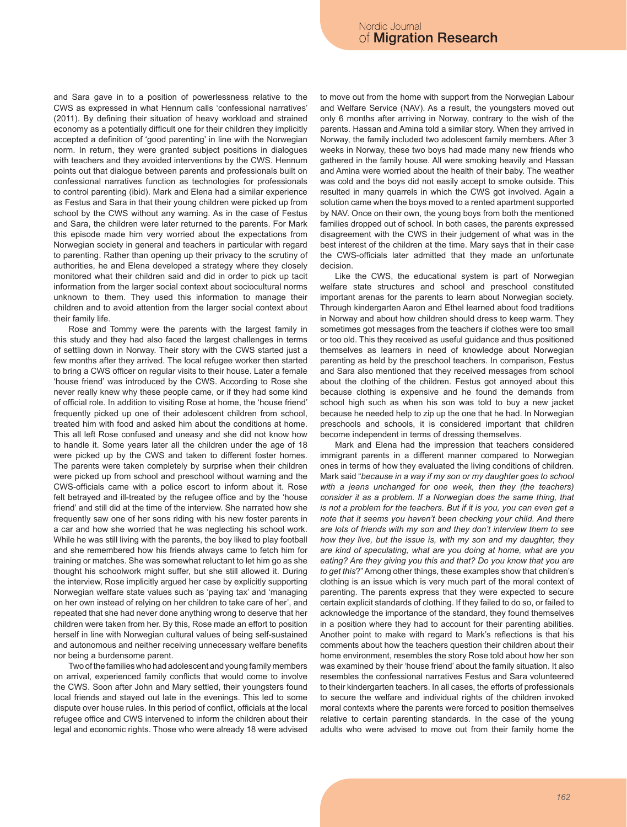and Sara gave in to a position of powerlessness relative to the CWS as expressed in what Hennum calls 'confessional narratives' (2011). By defining their situation of heavy workload and strained economy as a potentially difficult one for their children they implicitly accepted a definition of 'good parenting' in line with the Norwegian norm. In return, they were granted subject positions in dialogues with teachers and they avoided interventions by the CWS. Hennum points out that dialogue between parents and professionals built on confessional narratives function as technologies for professionals to control parenting (ibid). Mark and Elena had a similar experience as Festus and Sara in that their young children were picked up from school by the CWS without any warning. As in the case of Festus and Sara, the children were later returned to the parents. For Mark this episode made him very worried about the expectations from Norwegian society in general and teachers in particular with regard to parenting. Rather than opening up their privacy to the scrutiny of authorities, he and Elena developed a strategy where they closely monitored what their children said and did in order to pick up tacit information from the larger social context about sociocultural norms unknown to them. They used this information to manage their children and to avoid attention from the larger social context about their family life.

Rose and Tommy were the parents with the largest family in this study and they had also faced the largest challenges in terms of settling down in Norway. Their story with the CWS started just a few months after they arrived. The local refugee worker then started to bring a CWS officer on regular visits to their house. Later a female 'house friend' was introduced by the CWS. According to Rose she never really knew why these people came, or if they had some kind of official role. In addition to visiting Rose at home, the 'house friend' frequently picked up one of their adolescent children from school, treated him with food and asked him about the conditions at home. This all left Rose confused and uneasy and she did not know how to handle it. Some years later all the children under the age of 18 were picked up by the CWS and taken to different foster homes. The parents were taken completely by surprise when their children were picked up from school and preschool without warning and the CWS-officials came with a police escort to inform about it. Rose felt betrayed and ill-treated by the refugee office and by the 'house friend' and still did at the time of the interview. She narrated how she frequently saw one of her sons riding with his new foster parents in a car and how she worried that he was neglecting his school work. While he was still living with the parents, the boy liked to play football and she remembered how his friends always came to fetch him for training or matches. She was somewhat reluctant to let him go as she thought his schoolwork might suffer, but she still allowed it. During the interview, Rose implicitly argued her case by explicitly supporting Norwegian welfare state values such as 'paying tax' and 'managing on her own instead of relying on her children to take care of her', and repeated that she had never done anything wrong to deserve that her children were taken from her. By this, Rose made an effort to position herself in line with Norwegian cultural values of being self-sustained and autonomous and neither receiving unnecessary welfare benefits nor being a burdensome parent.

Two of the families who had adolescent and young family members on arrival, experienced family conflicts that would come to involve the CWS. Soon after John and Mary settled, their youngsters found local friends and stayed out late in the evenings. This led to some dispute over house rules. In this period of conflict, officials at the local refugee office and CWS intervened to inform the children about their legal and economic rights. Those who were already 18 were advised to move out from the home with support from the Norwegian Labour and Welfare Service (NAV). As a result, the youngsters moved out only 6 months after arriving in Norway, contrary to the wish of the parents. Hassan and Amina told a similar story. When they arrived in Norway, the family included two adolescent family members. After 3 weeks in Norway, these two boys had made many new friends who gathered in the family house. All were smoking heavily and Hassan and Amina were worried about the health of their baby. The weather was cold and the boys did not easily accept to smoke outside. This resulted in many quarrels in which the CWS got involved. Again a solution came when the boys moved to a rented apartment supported by NAV. Once on their own, the young boys from both the mentioned families dropped out of school. In both cases, the parents expressed disagreement with the CWS in their judgement of what was in the best interest of the children at the time. Mary says that in their case the CWS-officials later admitted that they made an unfortunate decision.

Like the CWS, the educational system is part of Norwegian welfare state structures and school and preschool constituted important arenas for the parents to learn about Norwegian society. Through kindergarten Aaron and Ethel learned about food traditions in Norway and about how children should dress to keep warm. They sometimes got messages from the teachers if clothes were too small or too old. This they received as useful guidance and thus positioned themselves as learners in need of knowledge about Norwegian parenting as held by the preschool teachers. In comparison, Festus and Sara also mentioned that they received messages from school about the clothing of the children. Festus got annoyed about this because clothing is expensive and he found the demands from school high such as when his son was told to buy a new jacket because he needed help to zip up the one that he had. In Norwegian preschools and schools, it is considered important that children become independent in terms of dressing themselves.

Mark and Elena had the impression that teachers considered immigrant parents in a different manner compared to Norwegian ones in terms of how they evaluated the living conditions of children. Mark said "*because in a way if my son or my daughter goes to school with a jeans unchanged for one week, then they (the teachers) consider it as a problem. If a Norwegian does the same thing, that is not a problem for the teachers. But if it is you, you can even get a note that it seems you haven't been checking your child. And there are lots of friends with my son and they don't interview them to see how they live, but the issue is, with my son and my daughter, they are kind of speculating, what are you doing at home, what are you eating? Are they giving you this and that? Do you know that you are to get this*?" Among other things, these examples show that children's clothing is an issue which is very much part of the moral context of parenting. The parents express that they were expected to secure certain explicit standards of clothing. If they failed to do so, or failed to acknowledge the importance of the standard, they found themselves in a position where they had to account for their parenting abilities. Another point to make with regard to Mark's reflections is that his comments about how the teachers question their children about their home environment, resembles the story Rose told about how her son was examined by their 'house friend' about the family situation. It also resembles the confessional narratives Festus and Sara volunteered to their kindergarten teachers. In all cases, the efforts of professionals to secure the welfare and individual rights of the children invoked moral contexts where the parents were forced to position themselves relative to certain parenting standards. In the case of the young adults who were advised to move out from their family home the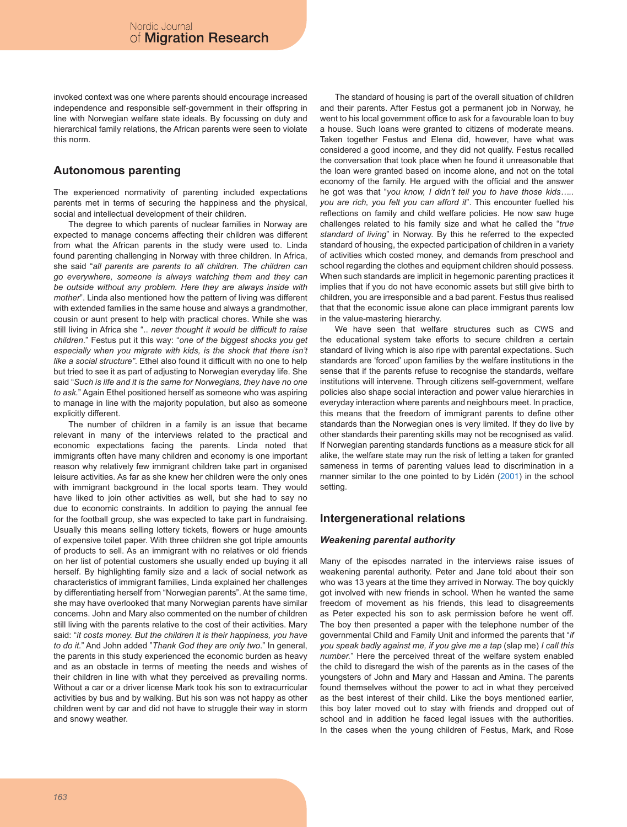invoked context was one where parents should encourage increased independence and responsible self-government in their offspring in line with Norwegian welfare state ideals. By focussing on duty and hierarchical family relations, the African parents were seen to violate this norm.

## **Autonomous parenting**

The experienced normativity of parenting included expectations parents met in terms of securing the happiness and the physical, social and intellectual development of their children.

The degree to which parents of nuclear families in Norway are expected to manage concerns affecting their children was different from what the African parents in the study were used to. Linda found parenting challenging in Norway with three children. In Africa, she said "*all parents are parents to all children. The children can go everywhere, someone is always watching them and they can be outside without any problem. Here they are always inside with mother*". Linda also mentioned how the pattern of living was different with extended families in the same house and always a grandmother, cousin or aunt present to help with practical chores. While she was still living in Africa she ".. *never thought it would be difficult to raise children*." Festus put it this way: "*one of the biggest shocks you get especially when you migrate with kids, is the shock that there isn't like a social structure"*. Ethel also found it difficult with no one to help but tried to see it as part of adjusting to Norwegian everyday life. She said "*Such is life and it is the same for Norwegians, they have no one to ask.*" Again Ethel positioned herself as someone who was aspiring to manage in line with the majority population, but also as someone explicitly different.

The number of children in a family is an issue that became relevant in many of the interviews related to the practical and economic expectations facing the parents. Linda noted that immigrants often have many children and economy is one important reason why relatively few immigrant children take part in organised leisure activities. As far as she knew her children were the only ones with immigrant background in the local sports team. They would have liked to join other activities as well, but she had to say no due to economic constraints. In addition to paying the annual fee for the football group, she was expected to take part in fundraising. Usually this means selling lottery tickets, flowers or huge amounts of expensive toilet paper. With three children she got triple amounts of products to sell. As an immigrant with no relatives or old friends on her list of potential customers she usually ended up buying it all herself. By highlighting family size and a lack of social network as characteristics of immigrant families, Linda explained her challenges by differentiating herself from "Norwegian parents". At the same time, she may have overlooked that many Norwegian parents have similar concerns. John and Mary also commented on the number of children still living with the parents relative to the cost of their activities. Mary said: "*it costs money. But the children it is their happiness, you have to do it.*" And John added "*Thank God they are only two*." In general, the parents in this study experienced the economic burden as heavy and as an obstacle in terms of meeting the needs and wishes of their children in line with what they perceived as prevailing norms. Without a car or a driver license Mark took his son to extracurricular activities by bus and by walking. But his son was not happy as other children went by car and did not have to struggle their way in storm and snowy weather.

The standard of housing is part of the overall situation of children and their parents. After Festus got a permanent job in Norway, he went to his local government office to ask for a favourable loan to buy a house. Such loans were granted to citizens of moderate means. Taken together Festus and Elena did, however, have what was considered a good income, and they did not qualify. Festus recalled the conversation that took place when he found it unreasonable that the loan were granted based on income alone, and not on the total economy of the family. He argued with the official and the answer he got was that "*you know, I didn't tell you to have those kids….. you are rich, you felt you can afford it*". This encounter fuelled his reflections on family and child welfare policies. He now saw huge challenges related to his family size and what he called the "*true standard of living*" in Norway. By this he referred to the expected standard of housing, the expected participation of children in a variety of activities which costed money, and demands from preschool and school regarding the clothes and equipment children should possess. When such standards are implicit in hegemonic parenting practices it implies that if you do not have economic assets but still give birth to children, you are irresponsible and a bad parent. Festus thus realised that that the economic issue alone can place immigrant parents low in the value-mastering hierarchy.

We have seen that welfare structures such as CWS and the educational system take efforts to secure children a certain standard of living which is also ripe with parental expectations. Such standards are 'forced' upon families by the welfare institutions in the sense that if the parents refuse to recognise the standards, welfare institutions will intervene. Through citizens self-government, welfare policies also shape social interaction and power value hierarchies in everyday interaction where parents and neighbours meet. In practice, this means that the freedom of immigrant parents to define other standards than the Norwegian ones is very limited. If they do live by other standards their parenting skills may not be recognised as valid. If Norwegian parenting standards functions as a measure stick for all alike, the welfare state may run the risk of letting a taken for granted sameness in terms of parenting values lead to discrimination in a manner similar to the one pointed to by Lidén (2001) in the school setting.

### **Intergenerational relations**

### *Weakening parental authority*

Many of the episodes narrated in the interviews raise issues of weakening parental authority. Peter and Jane told about their son who was 13 years at the time they arrived in Norway. The boy quickly got involved with new friends in school. When he wanted the same freedom of movement as his friends, this lead to disagreements as Peter expected his son to ask permission before he went off. The boy then presented a paper with the telephone number of the governmental Child and Family Unit and informed the parents that "*if you speak badly against me, if you give me a tap* (slap me) *I call this number.*" Here the perceived threat of the welfare system enabled the child to disregard the wish of the parents as in the cases of the youngsters of John and Mary and Hassan and Amina. The parents found themselves without the power to act in what they perceived as the best interest of their child. Like the boys mentioned earlier, this boy later moved out to stay with friends and dropped out of school and in addition he faced legal issues with the authorities. In the cases when the young children of Festus, Mark, and Rose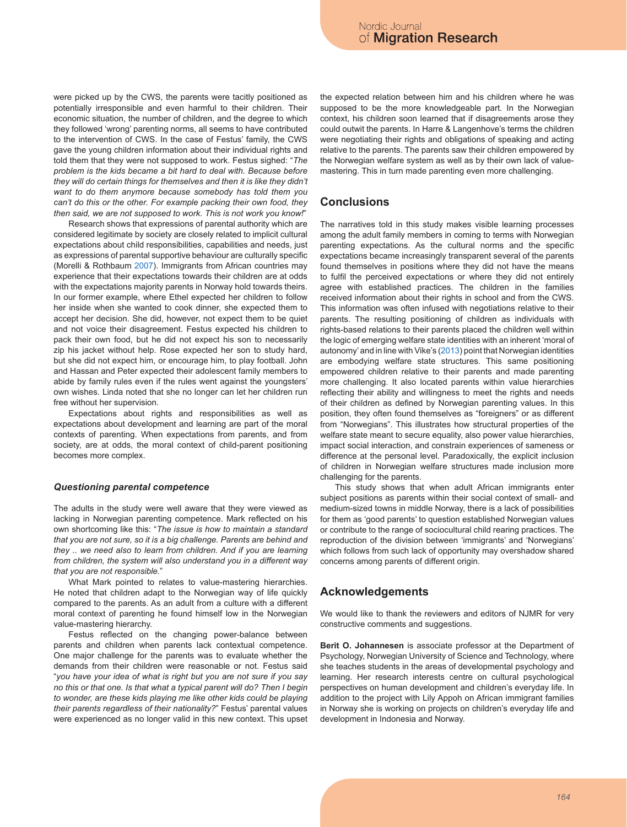were picked up by the CWS, the parents were tacitly positioned as potentially irresponsible and even harmful to their children. Their economic situation, the number of children, and the degree to which they followed 'wrong' parenting norms, all seems to have contributed to the intervention of CWS. In the case of Festus' family, the CWS gave the young children information about their individual rights and told them that they were not supposed to work. Festus sighed: "*The problem is the kids became a bit hard to deal with. Because before they will do certain things for themselves and then it is like they didn't want to do them anymore because somebody has told them you can't do this or the other. For example packing their own food, they then said, we are not supposed to work. This is not work you know!*"

Research shows that expressions of parental authority which are considered legitimate by society are closely related to implicit cultural expectations about child responsibilities, capabilities and needs, just as expressions of parental supportive behaviour are culturally specific (Morelli & Rothbaum 2007). Immigrants from African countries may experience that their expectations towards their children are at odds with the expectations majority parents in Norway hold towards theirs. In our former example, where Ethel expected her children to follow her inside when she wanted to cook dinner, she expected them to accept her decision. She did, however, not expect them to be quiet and not voice their disagreement. Festus expected his children to pack their own food, but he did not expect his son to necessarily zip his jacket without help. Rose expected her son to study hard, but she did not expect him, or encourage him, to play football. John and Hassan and Peter expected their adolescent family members to abide by family rules even if the rules went against the youngsters' own wishes. Linda noted that she no longer can let her children run free without her supervision.

Expectations about rights and responsibilities as well as expectations about development and learning are part of the moral contexts of parenting. When expectations from parents, and from society, are at odds, the moral context of child-parent positioning becomes more complex.

#### *Questioning parental competence*

The adults in the study were well aware that they were viewed as lacking in Norwegian parenting competence. Mark reflected on his own shortcoming like this: "*The issue is how to maintain a standard that you are not sure, so it is a big challenge. Parents are behind and they .. we need also to learn from children. And if you are learning from children, the system will also understand you in a different way that you are not responsible.*"

What Mark pointed to relates to value-mastering hierarchies. He noted that children adapt to the Norwegian way of life quickly compared to the parents. As an adult from a culture with a different moral context of parenting he found himself low in the Norwegian value-mastering hierarchy.

Festus reflected on the changing power-balance between parents and children when parents lack contextual competence. One major challenge for the parents was to evaluate whether the demands from their children were reasonable or not. Festus said "*you have your idea of what is right but you are not sure if you say no this or that one. Is that what a typical parent will do? Then I begin to wonder, are these kids playing me like other kids could be playing their parents regardless of their nationality?*" Festus' parental values were experienced as no longer valid in this new context. This upset the expected relation between him and his children where he was supposed to be the more knowledgeable part. In the Norwegian context, his children soon learned that if disagreements arose they could outwit the parents. In Harre & Langenhove's terms the children were negotiating their rights and obligations of speaking and acting relative to the parents. The parents saw their children empowered by the Norwegian welfare system as well as by their own lack of valuemastering. This in turn made parenting even more challenging.

### **Conclusions**

The narratives told in this study makes visible learning processes among the adult family members in coming to terms with Norwegian parenting expectations. As the cultural norms and the specific expectations became increasingly transparent several of the parents found themselves in positions where they did not have the means to fulfil the perceived expectations or where they did not entirely agree with established practices. The children in the families received information about their rights in school and from the CWS. This information was often infused with negotiations relative to their parents. The resulting positioning of children as individuals with rights-based relations to their parents placed the children well within the logic of emerging welfare state identities with an inherent 'moral of autonomy' and in line with Vike's (2013) point that Norwegian identities are embodying welfare state structures. This same positioning empowered children relative to their parents and made parenting more challenging. It also located parents within value hierarchies reflecting their ability and willingness to meet the rights and needs of their children as defined by Norwegian parenting values. In this position, they often found themselves as "foreigners" or as different from "Norwegians". This illustrates how structural properties of the welfare state meant to secure equality, also power value hierarchies, impact social interaction, and constrain experiences of sameness or difference at the personal level. Paradoxically, the explicit inclusion of children in Norwegian welfare structures made inclusion more challenging for the parents.

This study shows that when adult African immigrants enter subject positions as parents within their social context of small- and medium-sized towns in middle Norway, there is a lack of possibilities for them as 'good parents' to question established Norwegian values or contribute to the range of sociocultural child rearing practices. The reproduction of the division between 'immigrants' and 'Norwegians' which follows from such lack of opportunity may overshadow shared concerns among parents of different origin.

### **Acknowledgements**

We would like to thank the reviewers and editors of NJMR for very constructive comments and suggestions.

**Berit O. Johannesen** is associate professor at the Department of Psychology, Norwegian University of Science and Technology, where she teaches students in the areas of developmental psychology and learning. Her research interests centre on cultural psychological perspectives on human development and children's everyday life. In addition to the project with Lily Appoh on African immigrant families in Norway she is working on projects on children's everyday life and development in Indonesia and Norway.